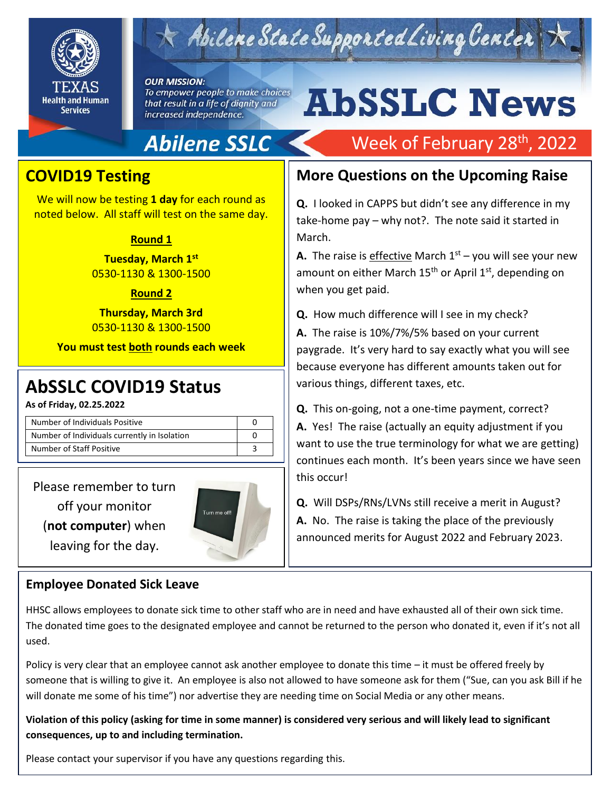

# Abilene State Supported Living Center

### **OUR MISSION:**

To empower people to make choices that result in a life of dignity and increased independence.

# Abilene SSLC

## **COVID19 Testing**

We will now be testing **1 day** for each round as noted below. All staff will test on the same day.

### **Round 1**

**Tuesday, March 1st** 0530-1130 & 1300-1500

### **Round 2**

**Thursday, March 3rd** 0530-1130 & 1300-1500

**You must test both rounds each week**

## 2019 **AbSSLC COVID19 Status**

**As of Friday, 02.25.2022**

| Number of Individuals Positive               |  |
|----------------------------------------------|--|
| Number of Individuals currently in Isolation |  |
| Number of Staff Positive                     |  |

Please remember to turn off your monitor (**not computer**) when leaving for the day.



## **Employee Donated Sick Leave**

# Week of February 28<sup>th</sup>, 2022

**AbSSLC News** 

**More Questions on the Upcoming Raise**

**Q.** I looked in CAPPS but didn't see any difference in my take-home pay – why not?. The note said it started in March.

**A.** The raise is effective March  $1<sup>st</sup>$  – you will see your new amount on either March  $15<sup>th</sup>$  or April  $1<sup>st</sup>$ , depending on when you get paid.

**Q.** How much difference will I see in my check?

**A.** The raise is 10%/7%/5% based on your current paygrade. It's very hard to say exactly what you will see because everyone has different amounts taken out for various things, different taxes, etc.

**Q.** This on-going, not a one-time payment, correct? **A.** Yes! The raise (actually an equity adjustment if you want to use the true terminology for what we are getting) continues each month. It's been years since we have seen this occur!

**Q.** Will DSPs/RNs/LVNs still receive a merit in August? **A.** No. The raise is taking the place of the previously announced merits for August 2022 and February 2023.

HHSC allows employees to donate sick time to other staff who are in need and have exhausted all of their own sick time. The donated time goes to the designated employee and cannot be returned to the person who donated it, even if it's not all used.

Policy is very clear that an employee cannot ask another employee to donate this time – it must be offered freely by someone that is willing to give it. An employee is also not allowed to have someone ask for them ("Sue, can you ask Bill if he will donate me some of his time") nor advertise they are needing time on Social Media or any other means.

**Violation of this policy (asking for time in some manner) is considered very serious and will likely lead to significant consequences, up to and including termination.** 

Please contact your supervisor if you have any questions regarding this.